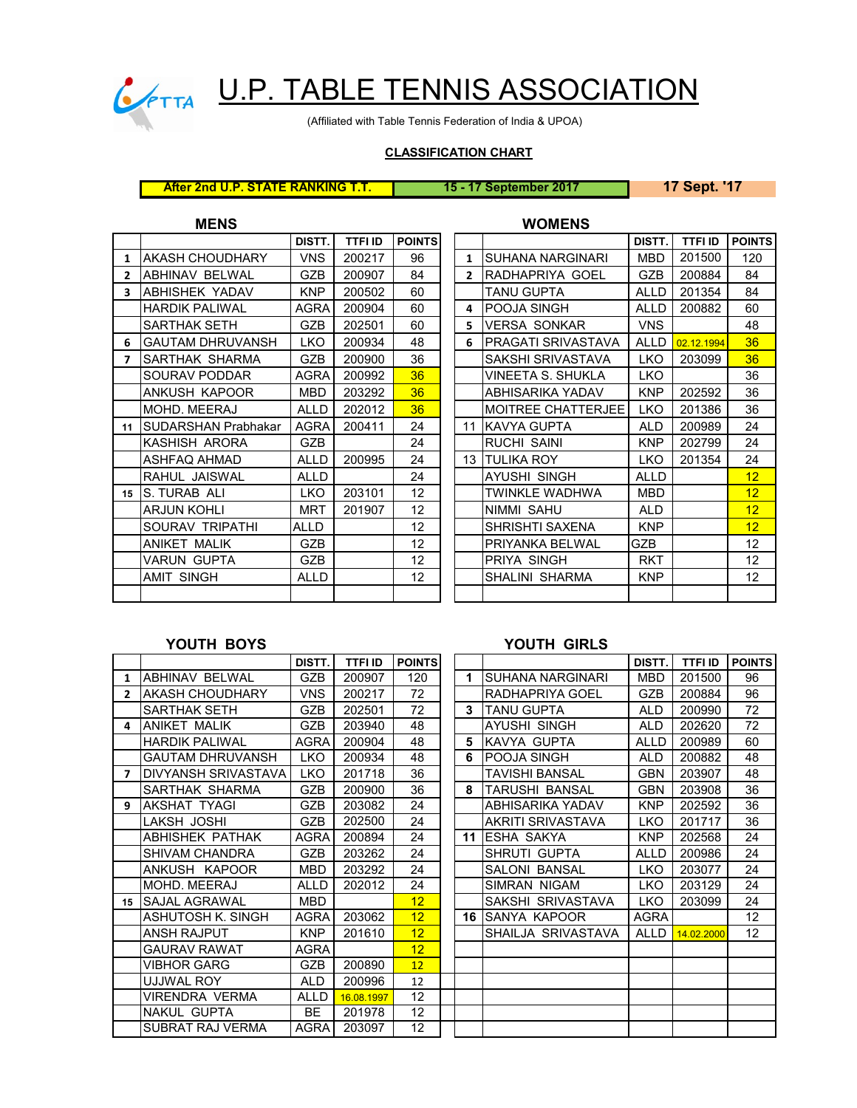

# CONTRA U.P. TABLE TENNIS ASSOCIATION

(Affiliated with Table Tennis Federation of India & UPOA)

### **CLASSIFICATION CHART**

| <b>After 2nd U.P. STATE RANKING T.T.</b> |  |
|------------------------------------------|--|
|------------------------------------------|--|

**After 2nd U.P. STATE RANKING T.T. 15 - 17 September 2017 17 Sept. '17**

| <b>MENS</b> | <b>WOMENS</b> |
|-------------|---------------|
|             |               |

|                |                            | DISTT.      | <b>TTFI ID</b> | <b>POINTS</b> |  |                |                           | DISTT.      | <b>TTFI ID</b> | <b>POINT</b> |  |  |  |
|----------------|----------------------------|-------------|----------------|---------------|--|----------------|---------------------------|-------------|----------------|--------------|--|--|--|
| $\mathbf{1}$   | <b>AKASH CHOUDHARY</b>     | <b>VNS</b>  | 200217         | 96            |  | $\mathbf{1}$   | <b>SUHANA NARGINARI</b>   | <b>MBD</b>  | 201500         | 120          |  |  |  |
| $\overline{2}$ | ABHINAV BELWAL             | <b>GZB</b>  | 200907         | 84            |  | $\overline{2}$ | IRADHAPRIYA GOEL          | <b>GZB</b>  | 200884         | 84           |  |  |  |
| 3              | ABHISHEK YADAV             | <b>KNP</b>  | 200502         | 60            |  |                | <b>TANU GUPTA</b>         | ALLD        | 201354         | 84           |  |  |  |
|                | <b>HARDIK PALIWAL</b>      | AGRA        | 200904         | 60            |  | 4              | <b>POOJA SINGH</b>        | <b>ALLD</b> | 200882         | 60           |  |  |  |
|                | SARTHAK SETH               | <b>GZB</b>  | 202501         | 60            |  | 5.             | <b>VERSA SONKAR</b>       | <b>VNS</b>  |                | 48           |  |  |  |
| 6              | <b>GAUTAM DHRUVANSH</b>    | <b>LKO</b>  | 200934         | 48            |  | 6.             | PRAGATI SRIVASTAVA        | ALLD        | 02.12.1994     | 36           |  |  |  |
| 7              | <b>SARTHAK SHARMA</b>      | <b>GZB</b>  | 200900         | 36            |  |                | SAKSHI SRIVASTAVA         | LKO.        | 203099         | 36           |  |  |  |
|                | <b>SOURAV PODDAR</b>       | AGRA        | 200992         | 36            |  |                | VINEETA S. SHUKLA         | <b>LKO</b>  |                | 36           |  |  |  |
|                | ANKUSH KAPOOR              | MBD         | 203292         | 36            |  |                | ABHISARIKA YADAV          | <b>KNP</b>  | 202592         | 36           |  |  |  |
|                | MOHD. MEERAJ               | <b>ALLD</b> | 202012         | 36            |  |                | <b>MOITREE CHATTERJEE</b> | LKO.        | 201386         | 36           |  |  |  |
| 11             | <b>SUDARSHAN Prabhakar</b> | <b>AGRA</b> | 200411         | 24            |  |                | 11 KAVYA GUPTA            | ALD.        | 200989         | 24           |  |  |  |
|                | KASHISH ARORA              | <b>GZB</b>  |                | 24            |  |                | <b>RUCHI SAINI</b>        | KNP         | 202799         | 24           |  |  |  |
|                | ASHFAQ AHMAD               | <b>ALLD</b> | 200995         | 24            |  |                | <b>13 ITULIKA ROY</b>     | LKO.        | 201354         | 24           |  |  |  |
|                | RAHUL JAISWAL              | ALLD        |                | 24            |  |                | AYUSHI SINGH              | <b>ALLD</b> |                | 12           |  |  |  |
| 15             | <b>S. TURAB ALI</b>        | <b>LKO</b>  | 203101         | 12            |  |                | TWINKLE WADHWA            | MBD         |                | 12           |  |  |  |
|                | <b>ARJUN KOHLI</b>         | <b>MRT</b>  | 201907         | 12            |  |                | <b>NIMMI SAHU</b>         | <b>ALD</b>  |                | 12           |  |  |  |
|                | SOURAV TRIPATHI            | ALLD        |                | 12            |  |                | SHRISHTI SAXENA           | <b>KNP</b>  |                | 12           |  |  |  |
|                | ANIKET MALIK               | <b>GZB</b>  |                | 12            |  |                | PRIYANKA BELWAL           | GZB         |                | 12           |  |  |  |
|                | VARUN GUPTA                | <b>GZB</b>  |                | 12            |  |                | PRIYA SINGH               | <b>RKT</b>  |                | 12           |  |  |  |
|                | <b>AMIT SINGH</b>          | ALLD        |                | 12            |  |                | SHALINI SHARMA            | <b>KNP</b>  |                | 12           |  |  |  |
|                |                            |             |                |               |  |                |                           |             |                |              |  |  |  |
|                |                            |             |                |               |  |                |                           |             |                |              |  |  |  |

|                     | DISTT.      | <b>TTFI ID</b> | <b>POINTS</b> |                |                           | DISTT.      | <b>TTFI ID</b> | <b>POINTS</b>     |
|---------------------|-------------|----------------|---------------|----------------|---------------------------|-------------|----------------|-------------------|
| AKASH CHOUDHARY     | <b>VNS</b>  | 200217         | 96            | 1              | <b>SUHANA NARGINARI</b>   | <b>MBD</b>  | 201500         | 120               |
| ABHINAV BELWAL      | <b>GZB</b>  | 200907         | 84            | $\overline{2}$ | RADHAPRIYA GOEL           | <b>GZB</b>  | 200884         | 84                |
| ABHISHEK YADAV      | <b>KNP</b>  | 200502         | 60            |                | <b>TANU GUPTA</b>         | ALLD        | 201354         | 84                |
| HARDIK PALIWAL      | AGRA        | 200904         | 60            | 4              | <b>POOJA SINGH</b>        | ALLD        | 200882         | 60                |
| SARTHAK SETH        | <b>GZB</b>  | 202501         | 60            | 5              | <b>VERSA SONKAR</b>       | <b>VNS</b>  |                | 48                |
| GAUTAM DHRUVANSH    | LKO         | 200934         | 48            | 6              | PRAGATI SRIVASTAVA        | <b>ALLD</b> | 02.12.1994     | 36                |
| SARTHAK SHARMA      | <b>GZB</b>  | 200900         | 36            |                | SAKSHI SRIVASTAVA         | <b>LKO</b>  | 203099         | 36                |
| SOURAV PODDAR       | AGRA        | 200992         | 36            |                | VINEETA S. SHUKLA         | LKO         |                | 36                |
| ANKUSH KAPOOR       | <b>MBD</b>  | 203292         | 36            |                | ABHISARIKA YADAV          | <b>KNP</b>  | 202592         | 36                |
| MOHD. MEERAJ        | <b>ALLD</b> | 202012         | 36            |                | <b>MOITREE CHATTERJEE</b> | <b>LKO</b>  | 201386         | 36                |
| SUDARSHAN Prabhakar | <b>AGRA</b> | 200411         | 24            | 11             | <b>IKAVYA GUPTA</b>       | ALD.        | 200989         | 24                |
| KASHISH ARORA       | <b>GZB</b>  |                | 24            |                | <b>RUCHI SAINI</b>        | <b>KNP</b>  | 202799         | 24                |
| ASHFAQ AHMAD        | <b>ALLD</b> | 200995         | 24            |                | <b>13 ITULIKA ROY</b>     | LKO         | 201354         | 24                |
| RAHUL JAISWAL       | <b>ALLD</b> |                | 24            |                | <b>AYUSHI SINGH</b>       | <b>ALLD</b> |                | 12                |
| S. TURAB ALI        | <b>LKO</b>  | 203101         | 12            |                | <b>TWINKLE WADHWA</b>     | <b>MBD</b>  |                | 12                |
| ARJUN KOHLI         | <b>MRT</b>  | 201907         | 12            |                | NIMMI SAHU                | <b>ALD</b>  |                | 12                |
| SOURAV TRIPATHI     | <b>ALLD</b> |                | 12            |                | SHRISHTI SAXENA           | <b>KNP</b>  |                | 12 <sup>2</sup>   |
| ANIKET MALIK        | <b>GZB</b>  |                | 12            |                | PRIYANKA BELWAL           | GZB         |                | 12                |
| VARUN GUPTA         | <b>GZB</b>  |                | 12            |                | PRIYA SINGH               | <b>RKT</b>  |                | $12 \overline{ }$ |
| AMIT SINGH          | <b>ALLD</b> |                | 12            |                | SHALINI SHARMA            | <b>KNP</b>  |                | 12                |
|                     |             |                |               |                |                           |             |                |                   |

## **YOUTH BOYS YOUTH GIRLS**

|              |                             | DISTT.      | <b>TTFI ID</b> | <b>POINTS</b>     |             |                          | DISTT.      | <b>TTFI ID</b> | <b>POIN</b> |
|--------------|-----------------------------|-------------|----------------|-------------------|-------------|--------------------------|-------------|----------------|-------------|
| 1            | <b>ABHINAV BELWAL</b>       | <b>GZB</b>  | 200907         | 120               | $\mathbf 1$ | <b>ISUHANA NARGINARI</b> | <b>MBD</b>  | 201500         | 96          |
| $\mathbf{2}$ | IAKASH CHOUDHARY            | <b>VNS</b>  | 200217         | 72                |             | RADHAPRIYA GOEL          | <b>GZB</b>  | 200884         | 96          |
|              | SARTHAK SETH                | <b>GZB</b>  | 202501         | 72                | 3           | <b>TANU GUPTA</b>        | <b>ALD</b>  | 200990         | 72          |
| 4            | <b>ANIKET MALIK</b>         | GZB         | 203940         | 48                |             | AYUSHI SINGH             | <b>ALD</b>  | 202620         | 72          |
|              | <b>HARDIK PALIWAL</b>       | <b>AGRA</b> | 200904         | 48                | 5           | KAVYA GUPTA              | <b>ALLD</b> | 200989         | 60          |
|              | <b>GAUTAM DHRUVANSH</b>     | LKO         | 200934         | 48                | 6           | <b>POOJA SINGH</b>       | <b>ALD</b>  | 200882         | 48          |
| $\mathbf{7}$ | <b>IDIVYANSH SRIVASTAVA</b> | <b>LKO</b>  | 201718         | 36                |             | TAVISHI BANSAL           | <b>GBN</b>  | 203907         | 48          |
|              | SARTHAK SHARMA              | GZB         | 200900         | 36                | 8           | <b>TARUSHI BANSAL</b>    | <b>GBN</b>  | 203908         | 36          |
| 9            | <b>AKSHAT TYAGI</b>         | <b>GZB</b>  | 203082         | 24                |             | ABHISARIKA YADAV         | <b>KNP</b>  | 202592         | 36          |
|              | LAKSH JOSHI                 | GZB         | 202500         | 24                |             | AKRITI SRIVASTAVA        | <b>LKO</b>  | 201717         | 36          |
|              | <b>ABHISHEK PATHAK</b>      | AGRA        | 200894         | 24                | 11          | <b>ESHA SAKYA</b>        | <b>KNP</b>  | 202568         | 24          |
|              | <b>SHIVAM CHANDRA</b>       | <b>GZB</b>  | 203262         | 24                |             | SHRUTI GUPTA             | <b>ALLD</b> | 200986         | 24          |
|              | ANKUSH KAPOOR               | <b>MBD</b>  | 203292         | 24                |             | <b>SALONI BANSAL</b>     | <b>LKO</b>  | 203077         | 24          |
|              | MOHD. MEERAJ                | <b>ALLD</b> | 202012         | 24                |             | SIMRAN NIGAM             | <b>LKO</b>  | 203129         | 24          |
| 15           | <b>ISAJAL AGRAWAL</b>       | MBD.        |                | 12 <sup>2</sup>   |             | SAKSHI SRIVASTAVA        | <b>LKO</b>  | 203099         | 24          |
|              | ASHUTOSH K. SINGH           | AGRA        | 203062         | 12 <sub>2</sub>   | 16          | <b>ISANYA KAPOOR</b>     | <b>AGRA</b> |                | 12          |
|              | <b>ANSH RAJPUT</b>          | <b>KNP</b>  | 201610         | 12 <sup>2</sup>   |             | SHAILJA SRIVASTAVA       | <b>ALLD</b> | 14.02.2000     | 12          |
|              | <b>GAURAV RAWAT</b>         | AGRA        |                | 12 <sup>2</sup>   |             |                          |             |                |             |
|              | VIBHOR GARG                 | GZB         | 200890         | 12                |             |                          |             |                |             |
|              | UJJWAL ROY                  | <b>ALD</b>  | 200996         | 12                |             |                          |             |                |             |
|              | VIRENDRA VERMA              | ALLD        | 16.08.1997     | $12 \overline{ }$ |             |                          |             |                |             |
|              | <b>NAKUL GUPTA</b>          | BE          | 201978         | $12 \overline{ }$ |             |                          |             |                |             |
|              | <b>SUBRAT RAJ VERMA</b>     | <b>AGRA</b> | 203097         | 12 <sup>°</sup>   |             |                          |             |                |             |

| DISTT.      | <b>TTFI ID</b> | <b>POINTS</b> |    |                     | DISTT.      | <b>TTFI ID</b> | <b>POINTS</b>     |
|-------------|----------------|---------------|----|---------------------|-------------|----------------|-------------------|
| <b>GZB</b>  | 200907         | 120           | 1  | SUHANA NARGINARI    | MBD         | 201500         | 96                |
| <b>VNS</b>  | 200217         | 72            |    | RADHAPRIYA GOEL     | GZB         | 200884         | 96                |
| <b>GZB</b>  | 202501         | 72            | 3  | <b>TANU GUPTA</b>   | <b>ALD</b>  | 200990         | 72                |
| GZB         | 203940         | 48            |    | <b>AYUSHI SINGH</b> | ALD         | 202620         | 72                |
| AGRA        | 200904         | 48            | 5  | KAVYA GUPTA         | <b>ALLD</b> | 200989         | 60                |
| <b>LKO</b>  | 200934         | 48            | 6  | POOJA SINGH         | ALD         | 200882         | 48                |
| <b>LKO</b>  | 201718         | 36            |    | TAVISHI BANSAL      | <b>GBN</b>  | 203907         | 48                |
| GZB         | 200900         | 36            | 8  | TARUSHI BANSAL      | <b>GBN</b>  | 203908         | 36                |
| GZB         | 203082         | 24            |    | ABHISARIKA YADAV    | <b>KNP</b>  | 202592         | 36                |
| GZB         | 202500         | 24            |    | AKRITI SRIVASTAVA   | <b>LKO</b>  | 201717         | 36                |
| AGRA        | 200894         | 24            | 11 | ESHA SAKYA          | <b>KNP</b>  | 202568         | 24                |
| GZB         | 203262         | 24            |    | SHRUTI GUPTA        | <b>ALLD</b> | 200986         | 24                |
| <b>MBD</b>  | 203292         | 24            |    | SALONI BANSAL       | <b>LKO</b>  | 203077         | 24                |
| ALLD        | 202012         | 24            |    | <b>SIMRAN NIGAM</b> | <b>LKO</b>  | 203129         | 24                |
| MBD         |                | 12            |    | SAKSHI SRIVASTAVA   | <b>LKO</b>  | 203099         | 24                |
| AGRA        | 203062         | 12            | 16 | SANYA KAPOOR        | AGRA        |                | $12 \overline{ }$ |
| <b>KNP</b>  | 201610         | 12            |    | SHAILJA SRIVASTAVA  | ALLD        | 14.02.2000     | 12 <sup>°</sup>   |
| AGRA        |                | 12            |    |                     |             |                |                   |
| <b>GZB</b>  | 200890         | 12            |    |                     |             |                |                   |
| <b>ALD</b>  | 200996         | 12            |    |                     |             |                |                   |
| <b>ALLD</b> | 16,08.1997     | 12            |    |                     |             |                |                   |
| BE          | 201978         | 12            |    |                     |             |                |                   |
| AGRA        | 203097         | 12            |    |                     |             |                |                   |